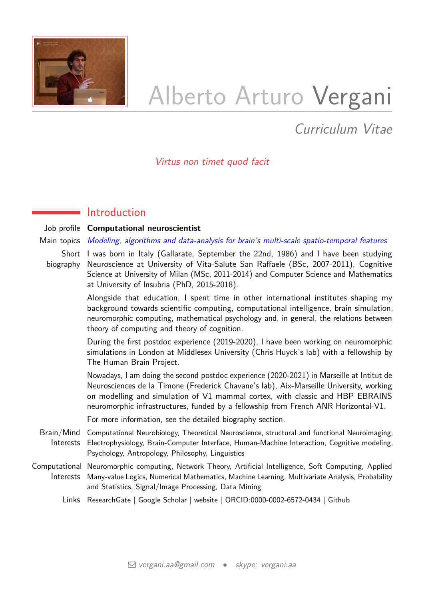

# Alberto Arturo Vergani

Curriculum Vitae

## Virtus non timet quod facit

## **Introduction**

Job profile **Computational neuroscientist**

#### Main topics Modeling, algorithms and data-analysis for brain's multi-scale spatio-temporal features

Short I was born in Italy (Gallarate, September the 22nd, 1986) and I have been studying biography Neuroscience at University of Vita-Salute San Raffaele (BSc, 2007-2011), Cognitive Science at University of Milan (MSc, 2011-2014) and Computer Science and Mathematics at University of Insubria (PhD, 2015-2018).

> Alongside that education, I spent time in other international institutes shaping my background towards scientific computing, computational intelligence, brain simulation, neuromorphic computing, mathematical psychology and, in general, the relations between theory of computing and theory of cognition.

> During the first postdoc experience (2019-2020), I have been working on neuromorphic simulations in London at Middlesex University (Chris Huyck's lab) with a fellowship by The Human Brain Project.

> Nowadays, I am doing the second postdoc experience (2020-2021) in Marseille at Intitut de Neurosciences de la Timone (Frederick Chavane's lab), Aix-Marseille University, working on modelling and simulation of V1 mammal cortex, with classic and HBP EBRAINS neuromorphic infrastructures, funded by a fellowship from French ANR Horizontal-V1.

For more information, see the [detailed biography section.](#page-8-0)

- Brain/Mind Computational Neurobiology, Theoretical Neuroscience, structural and functional Neuroimaging, Interests Electrophysiology, Brain-Computer Interface, Human-Machine Interaction, Cognitive modeling, Psychology, Antropology, Philosophy, Linguistics
- Computational Neuromorphic computing, Network Theory, Artificial Intelligence, Soft Computing, Applied Interests Many-value Logics, Numerical Mathematics, Machine Learning, Multivariate Analysis, Probability and Statistics, Signal/Image Processing, Data Mining
	- Links [ResearchGate](https://www.researchgate.net/profile/Alberto_Vergani) | [Google Scholar](https://scholar.google.com/citations?user=BqEQTtQAAAAJ&hl=it) | [website](http://www.albertovergani.eu/) | [ORCID:0000-0002-6572-0434](https://orcid.org/0000-0002-6572-0434) | [Github](https://github.com/albertoarturovergani)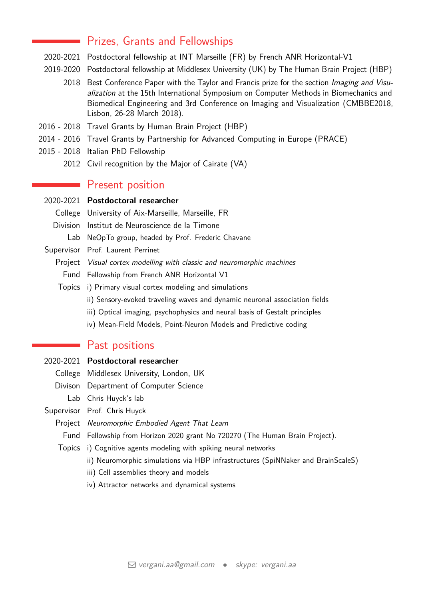## Prizes, Grants and Fellowships

- 2020-2021 Postdoctoral fellowship at INT Marseille (FR) by French ANR Horizontal-V1
- 2019-2020 Postdoctoral fellowship at Middlesex University (UK) by The Human Brain Project (HBP)
	- 2018 Best Conference Paper with the Taylor and Francis prize for the section Imaging and Visualization at the 15th International Symposium on Computer Methods in Biomechanics and Biomedical Engineering and 3rd Conference on Imaging and Visualization (CMBBE2018, Lisbon, 26-28 March 2018).
- 2016 2018 Travel Grants by Human Brain Project (HBP)
- 2014 2016 Travel Grants by Partnership for Advanced Computing in Europe (PRACE)
- 2015 2018 Italian PhD Fellowship
	- 2012 Civil recognition by the Major of Cairate (VA)

## Present position

2020-2021 **Postdoctoral researcher**

College University of Aix-Marseille, Marseille, FR

- Division Institut de Neuroscience de la Timone
	- Lab NeOpTo group, headed by Prof. Frederic Chavane
- Supervisor Prof. Laurent Perrinet
	- Project Visual cortex modelling with classic and neuromorphic machines
		- Fund Fellowship from French ANR Horizontal V1
	- Topics i) Primary visual cortex modeling and simulations
		- ii) Sensory-evoked traveling waves and dynamic neuronal association fields
		- iii) Optical imaging, psychophysics and neural basis of Gestalt principles
		- iv) Mean-Field Models, Point-Neuron Models and Predictive coding

## Past positions

- 2020-2021 **Postdoctoral researcher**
	- College Middlesex University, London, UK
	- Divison Department of Computer Science
		- Lab Chris Huyck's lab

Supervisor Prof. Chris Huyck

- Project Neuromorphic Embodied Agent That Learn
	- Fund Fellowship from Horizon 2020 grant No 720270 (The Human Brain Project).
- Topics i) Cognitive agents modeling with spiking neural networks
	- ii) Neuromorphic simulations via HBP infrastructures (SpiNNaker and BrainScaleS)
	- iii) Cell assemblies theory and models
	- iv) Attractor networks and dynamical systems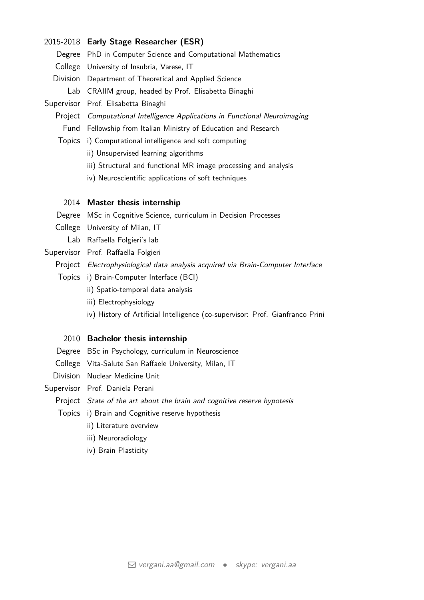#### 2015-2018 **Early Stage Researcher (ESR)**

Degree PhD in Computer Science and Computational Mathematics College University of Insubria, Varese, IT Division Department of Theoretical and Applied Science

Lab CRAIIM group, headed by Prof. Elisabetta Binaghi

Supervisor Prof. Elisabetta Binaghi

Project Computational Intelligence Applications in Functional Neuroimaging Fund Fellowship from Italian Ministry of Education and Research

- Topics i) Computational intelligence and soft computing
	- ii) Unsupervised learning algorithms
	- iii) Structural and functional MR image processing and analysis
	- iv) Neuroscientific applications of soft techniques

#### 2014 **Master thesis internship**

Degree MSc in Cognitive Science, curriculum in Decision Processes

- College University of Milan, IT
	- Lab Raffaella Folgieri's lab
- Supervisor Prof. Raffaella Folgieri

Project Electrophysiological data analysis acquired via Brain-Computer Interface

- Topics i) Brain-Computer Interface (BCI)
	- ii) Spatio-temporal data analysis
	- iii) Electrophysiology
	- iv) History of Artificial Intelligence (co-supervisor: Prof. Gianfranco Prini

#### 2010 **Bachelor thesis internship**

- Degree BSc in Psychology, curriculum in Neuroscience
- College Vita-Salute San Raffaele University, Milan, IT
- Division Nuclear Medicine Unit
- Supervisor Prof. Daniela Perani
	- Project State of the art about the brain and cognitive reserve hypotesis
	- Topics i) Brain and Cognitive reserve hypothesis
		- ii) Literature overview
		- iii) Neuroradiology
		- iv) Brain Plasticity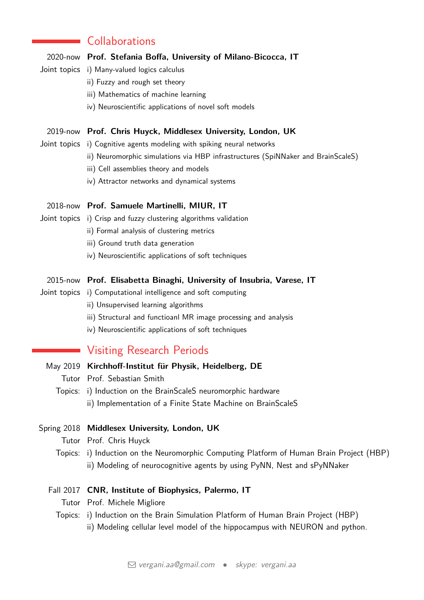## **Collaborations**

#### 2020-now **Prof. Stefania Boffa, University of Milano-Bicocca, IT**

- Joint topics i) Many-valued logics calculus
	- ii) Fuzzy and rough set theory
	- iii) Mathematics of machine learning
	- iv) Neuroscientific applications of novel soft models

#### 2019-now **Prof. Chris Huyck, Middlesex University, London, UK**

- Joint topics i) Cognitive agents modeling with spiking neural networks
	- ii) Neuromorphic simulations via HBP infrastructures (SpiNNaker and BrainScaleS)
	- iii) Cell assemblies theory and models
	- iv) Attractor networks and dynamical systems

#### 2018-now **Prof. Samuele Martinelli, MIUR, IT**

- Joint topics i) Crisp and fuzzy clustering algorithms validation
	- ii) Formal analysis of clustering metrics
	- iii) Ground truth data generation
	- iv) Neuroscientific applications of soft techniques

#### 2015-now **Prof. Elisabetta Binaghi, University of Insubria, Varese, IT**

- Joint topics i) Computational intelligence and soft computing
	- ii) Unsupervised learning algorithms
	- iii) Structural and functioanl MR image processing and analysis
	- iv) Neuroscientific applications of soft techniques

## Visiting Research Periods

- May 2019 **Kirchhoff-Institut für Physik, Heidelberg, DE**
	- Tutor Prof. Sebastian Smith
	- Topics: i) Induction on the BrainScaleS neuromorphic hardware ii) Implementation of a Finite State Machine on BrainScaleS

#### Spring 2018 **Middlesex University, London, UK**

- Tutor Prof. Chris Huyck
- Topics: i) Induction on the Neuromorphic Computing Platform of Human Brain Project (HBP) ii) Modeling of neurocognitive agents by using PyNN, Nest and sPyNNaker

#### Fall 2017 **CNR, Institute of Biophysics, Palermo, IT**

- Tutor Prof. Michele Migliore
- Topics: i) Induction on the Brain Simulation Platform of Human Brain Project (HBP) ii) Modeling cellular level model of the hippocampus with NEURON and python.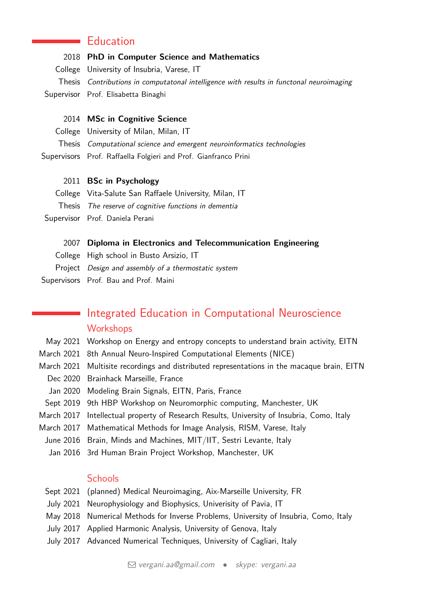## **Education**

#### 2018 **PhD in Computer Science and Mathematics**

College University of Insubria, Varese, IT

Thesis Contributions in computatonal intelligence with results in functonal neuroimaging Supervisor Prof. Elisabetta Binaghi

## 2014 **MSc in Cognitive Science**

- College University of Milan, Milan, IT
- Thesis Computational science and emergent neuroinformatics technologies
- Supervisors Prof. Raffaella Folgieri and Prof. Gianfranco Prini

## 2011 **BSc in Psychology**

- College Vita-Salute San Raffaele University, Milan, IT
- Thesis The reserve of cognitive functions in dementia
- Supervisor Prof. Daniela Perani
	- 2007 **Diploma in Electronics and Telecommunication Engineering**
	- College High school in Busto Arsizio, IT
	- Project Design and assembly of a thermostatic system
- Supervisors Prof. Bau and Prof. Maini

## Integrated Education in Computational Neuroscience **Workshops**

- May 2021 Workshop on Energy and entropy concepts to understand brain activity, EITN
- March 2021 8th Annual Neuro-Inspired Computational Elements (NICE)
- March 2021 Multisite recordings and distributed representations in the macaque brain, EITN
	- Dec 2020 Brainhack Marseille, France
	- Jan 2020 Modeling Brain Signals, EITN, Paris, France
- Sept 2019 9th HBP Workshop on Neuromorphic computing, Manchester, UK
- March 2017 Intellectual property of Research Results, University of Insubria, Como, Italy
- March 2017 Mathematical Methods for Image Analysis, RISM, Varese, Italy
- June 2016 Brain, Minds and Machines, MIT/IIT, Sestri Levante, Italy
	- Jan 2016 3rd Human Brain Project Workshop, Manchester, UK

## **Schools**

- Sept 2021 (planned) Medical Neuroimaging, Aix-Marseille University, FR
- July 2021 Neurophysiology and Biophysics, Univerisity of Pavia, IT
- May 2018 Numerical Methods for Inverse Problems, University of Insubria, Como, Italy
- July 2017 Applied Harmonic Analysis, University of Genova, Italy
- July 2017 Advanced Numerical Techniques, University of Cagliari, Italy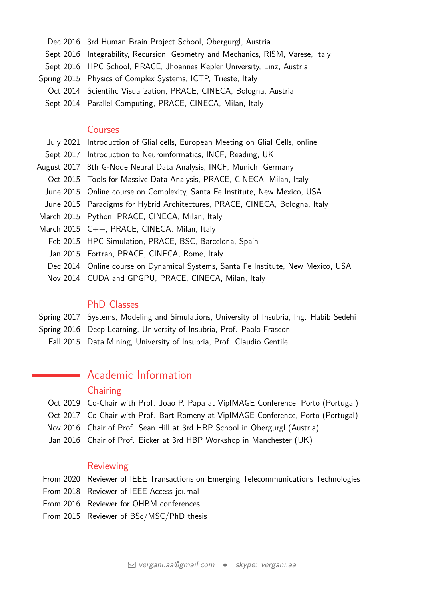- Dec 2016 3rd Human Brain Project School, Obergurgl, Austria
- Sept 2016 Integrability, Recursion, Geometry and Mechanics, RISM, Varese, Italy
- Sept 2016 HPC School, PRACE, Jhoannes Kepler University, Linz, Austria
- Spring 2015 Physics of Complex Systems, ICTP, Trieste, Italy
- Oct 2014 Scientific Visualization, PRACE, CINECA, Bologna, Austria
- Sept 2014 Parallel Computing, PRACE, CINECA, Milan, Italy

#### Courses

- July 2021 Introduction of Glial cells, European Meeting on Glial Cells, online
- Sept 2017 Introduction to Neuroinformatics, INCF, Reading, UK
- August 2017 8th G-Node Neural Data Analysis, INCF, Munich, Germany
	- Oct 2015 Tools for Massive Data Analysis, PRACE, CINECA, Milan, Italy
	- June 2015 Online course on Complexity, Santa Fe Institute, New Mexico, USA
- June 2015 Paradigms for Hybrid Architectures, PRACE, CINECA, Bologna, Italy
- March 2015 Python, PRACE, CINECA, Milan, Italy
- March 2015 C++, PRACE, CINECA, Milan, Italy
	- Feb 2015 HPC Simulation, PRACE, BSC, Barcelona, Spain
	- Jan 2015 Fortran, PRACE, CINECA, Rome, Italy
	- Dec 2014 Online course on Dynamical Systems, Santa Fe Institute, New Mexico, USA
	- Nov 2014 CUDA and GPGPU, PRACE, CINECA, Milan, Italy

#### PhD Classes

- Spring 2017 Systems, Modeling and Simulations, University of Insubria, Ing. Habib Sedehi
- Spring 2016 Deep Learning, University of Insubria, Prof. Paolo Frasconi
- Fall 2015 Data Mining, University of Insubria, Prof. Claudio Gentile

## **Academic Information**

## **Chairing**

- Oct 2019 Co-Chair with Prof. Joao P. Papa at VipIMAGE Conference, Porto (Portugal)
- Oct 2017 Co-Chair with Prof. Bart Romeny at VipIMAGE Conference, Porto (Portugal)
- Nov 2016 Chair of Prof. Sean Hill at 3rd HBP School in Obergurgl (Austria)
- Jan 2016 Chair of Prof. Eicker at 3rd HBP Workshop in Manchester (UK)

## Reviewing

- From 2020 Reviewer of IEEE Transactions on Emerging Telecommunications Technologies
- From 2018 Reviewer of IEEE Access journal
- From 2016 Reviewer for OHBM conferences
- From 2015 Reviewer of BSc/MSC/PhD thesis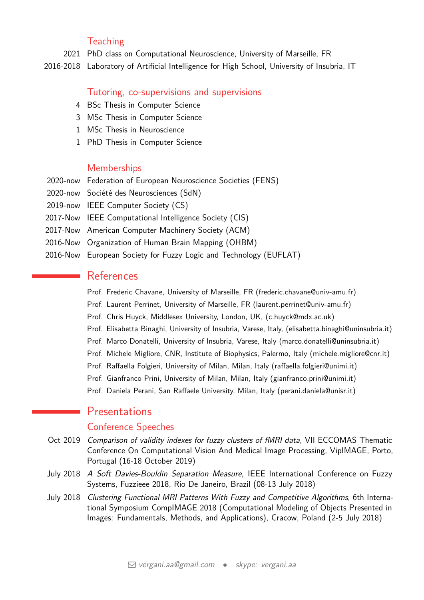## **Teaching**

2021 PhD class on Computational Neuroscience, University of Marseille, FR

2016-2018 Laboratory of Artificial Intelligence for High School, University of Insubria, IT

#### Tutoring, co-supervisions and supervisions

- 4 BSc Thesis in Computer Science
- 3 MSc Thesis in Computer Science
- 1 MSc Thesis in Neuroscience
- 1 PhD Thesis in Computer Science

### **Memberships**

- 2020-now Federation of European Neuroscience Societies (FENS)
- 2020-now Société des Neurosciences (SdN)
- 2019-now IEEE Computer Society (CS)
- 2017-Now IEEE Computational Intelligence Society (CIS)
- 2017-Now American Computer Machinery Society (ACM)
- 2016-Now Organization of Human Brain Mapping (OHBM)
- 2016-Now European Society for Fuzzy Logic and Technology (EUFLAT)

## References

 $\mathcal{L}_{\mathcal{A}}$ 

- Prof. Frederic Chavane, University of Marseille, FR (frederic.chavane@univ-amu.fr)
- Prof. Laurent Perrinet, University of Marseille, FR (laurent.perrinet@univ-amu.fr)
- Prof. Chris Huyck, Middlesex University, London, UK, (c.huyck@mdx.ac.uk)
- Prof. Elisabetta Binaghi, University of Insubria, Varese, Italy, (elisabetta.binaghi@uninsubria.it)
- Prof. Marco Donatelli, University of Insubria, Varese, Italy (marco.donatelli@uninsubria.it)
- Prof. Michele Migliore, CNR, Institute of Biophysics, Palermo, Italy (michele.migliore@cnr.it)
- Prof. Raffaella Folgieri, University of Milan, Milan, Italy (raffaella.folgieri@unimi.it)
- Prof. Gianfranco Prini, University of Milan, Milan, Italy (gianfranco.prini@unimi.it)
- Prof. Daniela Perani, San Raffaele University, Milan, Italy (perani.daniela@unisr.it)

## **Presentations**

#### Conference Speeches

- Oct 2019 Comparison of validity indexes for fuzzy clusters of fMRI data, VII ECCOMAS Thematic Conference On Computational Vision And Medical Image Processing, VipIMAGE, Porto, Portugal (16-18 October 2019)
- July 2018 A Soft Davies-Bouldin Separation Measure, IEEE International Conference on Fuzzy Systems, Fuzzieee 2018, Rio De Janeiro, Brazil (08-13 July 2018)
- July 2018 Clustering Functional MRI Patterns With Fuzzy and Competitive Algorithms, 6th International Symposium CompIMAGE 2018 (Computational Modeling of Objects Presented in Images: Fundamentals, Methods, and Applications), Cracow, Poland (2-5 July 2018)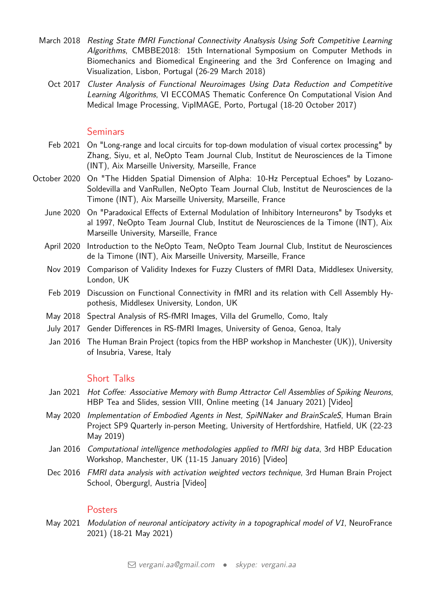- March 2018 Resting State fMRI Functional Connectivity Analsysis Using Soft Competitive Learning Algorithms, CMBBE2018: 15th International Symposium on Computer Methods in Biomechanics and Biomedical Engineering and the 3rd Conference on Imaging and Visualization, Lisbon, Portugal (26-29 March 2018)
	- Oct 2017 Cluster Analysis of Functional Neuroimages Using Data Reduction and Competitive Learning Algorithms, VI ECCOMAS Thematic Conference On Computational Vision And Medical Image Processing, VipIMAGE, Porto, Portugal (18-20 October 2017)

## **Seminars**

- Feb 2021 On "Long-range and local circuits for top-down modulation of visual cortex processing" by Zhang, Siyu, et al, NeOpto Team Journal Club, Institut de Neurosciences de la Timone (INT), Aix Marseille University, Marseille, France
- October 2020 On "The Hidden Spatial Dimension of Alpha: 10-Hz Perceptual Echoes" by Lozano-Soldevilla and VanRullen, NeOpto Team Journal Club, Institut de Neurosciences de la Timone (INT), Aix Marseille University, Marseille, France
	- June 2020 On "Paradoxical Effects of External Modulation of Inhibitory Interneurons" by Tsodyks et al 1997, NeOpto Team Journal Club, Institut de Neurosciences de la Timone (INT), Aix Marseille University, Marseille, France
	- April 2020 Introduction to the NeOpto Team, NeOpto Team Journal Club, Institut de Neurosciences de la Timone (INT), Aix Marseille University, Marseille, France
	- Nov 2019 Comparison of Validity Indexes for Fuzzy Clusters of fMRI Data, Middlesex University, London, UK
	- Feb 2019 Discussion on Functional Connectivity in fMRI and its relation with Cell Assembly Hypothesis, Middlesex University, London, UK
	- May 2018 Spectral Analysis of RS-fMRI Images, Villa del Grumello, Como, Italy
	- July 2017 Gender Differences in RS-fMRI Images, University of Genoa, Genoa, Italy
	- Jan 2016 The Human Brain Project (topics from the HBP workshop in Manchester (UK)), University of Insubria, Varese, Italy

## Short Talks

- Jan 2021 Hot Coffee: Associative Memory with Bump Attractor Cell Assemblies of Spiking Neurons, HBP Tea and Slides, session VIII, Online meeting (14 January 2021) [\[Video\]](https://www.youtube.com/watch?v=Re9LL9X01bc&list=PLYqodpfv9H17ARe30zzlhsd7Ua_DsbYac&index=7)
- May 2020 Implementation of Embodied Agents in Nest, SpiNNaker and BrainScaleS, Human Brain Project SP9 Quarterly in-person Meeting, University of Hertfordshire, Hatfield, UK (22-23 May 2019)
- Jan 2016 Computational intelligence methodologies applied to fMRI big data, 3rd HBP Education Workshop, Manchester, UK (11-15 January 2016) [\[Video\]](https://www.youtube.com/watch?v=ZMNyjm0DYOo)
- Dec 2016 FMRI data analysis with activation weighted vectors technique, 3rd Human Brain Project School, Obergurgl, Austria [\[Video\]](https://www.youtube.com/watch?v=OQ-7-CJT8fI)

## **Posters**

May 2021 Modulation of neuronal anticipatory activity in a topographical model of V1, NeuroFrance 2021) (18-21 May 2021)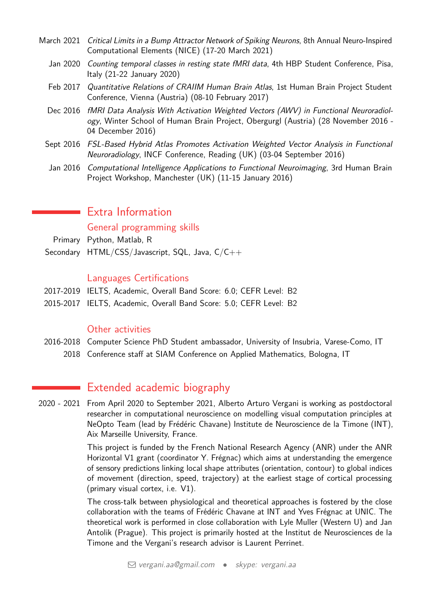- March 2021 Critical Limits in a Bump Attractor Network of Spiking Neurons, 8th Annual Neuro-Inspired Computational Elements (NICE) (17-20 March 2021)
	- Jan 2020 Counting temporal classes in resting state fMRI data, 4th HBP Student Conference, Pisa, Italy (21-22 January 2020)
	- Feb 2017 Quantitative Relations of CRAIIM Human Brain Atlas, 1st Human Brain Project Student Conference, Vienna (Austria) (08-10 February 2017)
	- Dec 2016 fMRI Data Analysis With Activation Weighted Vectors (AWV) in Functional Neuroradiology, Winter School of Human Brain Project, Obergurgl (Austria) (28 November 2016 - 04 December 2016)
	- Sept 2016 FSL-Based Hybrid Atlas Promotes Activation Weighted Vector Analysis in Functional Neuroradiology, INCF Conference, Reading (UK) (03-04 September 2016)
	- Jan 2016 Computational Intelligence Applications to Functional Neuroimaging, 3rd Human Brain Project Workshop, Manchester (UK) (11-15 January 2016)

## Extra Information

General programming skills

Primary Python, Matlab, R

Secondary HTML/CSS/Javascript, SQL, Java, C/C++

## Languages Certifications

- 2017-2019 IELTS, Academic, Overall Band Score: 6.0; CEFR Level: B2
- 2015-2017 IELTS, Academic, Overall Band Score: 5.0; CEFR Level: B2

## Other activities

2016-2018 Computer Science PhD Student ambassador, University of Insubria, Varese-Como, IT 2018 Conference staff at SIAM Conference on Applied Mathematics, Bologna, IT

## <span id="page-8-0"></span>Extended academic biography

2020 - 2021 From April 2020 to September 2021, Alberto Arturo Vergani is working as postdoctoral researcher in computational neuroscience on modelling visual computation principles at NeOpto Team (lead by Frédéric Chavane) Institute de Neuroscience de la Timone (INT), Aix Marseille University, France.

> This project is funded by the French National Research Agency (ANR) under the ANR Horizontal V1 grant (coordinator Y. Frégnac) which aims at understanding the emergence of sensory predictions linking local shape attributes (orientation, contour) to global indices of movement (direction, speed, trajectory) at the earliest stage of cortical processing (primary visual cortex, i.e. V1).

> The cross-talk between physiological and theoretical approaches is fostered by the close collaboration with the teams of Frédéric Chavane at INT and Yves Frégnac at UNIC. The theoretical work is performed in close collaboration with Lyle Muller (Western U) and Jan Antolik (Prague). This project is primarily hosted at the Institut de Neurosciences de la Timone and the Vergani's research advisor is Laurent Perrinet.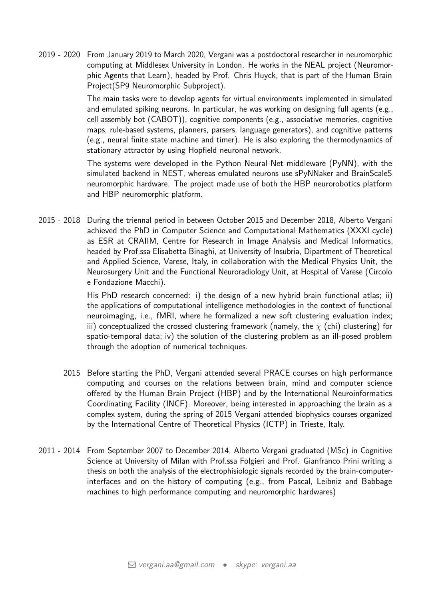2019 - 2020 From January 2019 to March 2020, Vergani was a postdoctoral researcher in neuromorphic computing at Middlesex University in London. He works in the NEAL project (Neuromorphic Agents that Learn), headed by Prof. Chris Huyck, that is part of the Human Brain Project(SP9 Neuromorphic Subproject).

> The main tasks were to develop agents for virtual environments implemented in simulated and emulated spiking neurons. In particular, he was working on designing full agents (e.g., cell assembly bot (CABOT)), cognitive components (e.g., associative memories, cognitive maps, rule-based systems, planners, parsers, language generators), and cognitive patterns (e.g., neural finite state machine and timer). He is also exploring the thermodynamics of stationary attractor by using Hopfield neuronal network.

> The systems were developed in the Python Neural Net middleware (PyNN), with the simulated backend in NEST, whereas emulated neurons use sPyNNaker and BrainScaleS neuromorphic hardware. The project made use of both the HBP neurorobotics platform and HBP neuromorphic platform.

2015 - 2018 During the triennal period in between October 2015 and December 2018, Alberto Vergani achieved the PhD in Computer Science and Computational Mathematics (XXXI cycle) as ESR at CRAIIM, Centre for Research in Image Analysis and Medical Informatics, headed by Prof.ssa Elisabetta Binaghi, at University of Insubria, Dipartment of Theoretical and Applied Science, Varese, Italy, in collaboration with the Medical Physics Unit, the Neurosurgery Unit and the Functional Neuroradiology Unit, at Hospital of Varese (Circolo e Fondazione Macchi).

> His PhD research concerned: i) the design of a new hybrid brain functional atlas; ii) the applications of computational intelligence methodologies in the context of functional neuroimaging, i.e., fMRI, where he formalized a new soft clustering evaluation index; iii) conceptualized the crossed clustering framework (namely, the  $\chi$  (chi) clustering) for spatio-temporal data; iv) the solution of the clustering problem as an ill-posed problem through the adoption of numerical techniques.

- 2015 Before starting the PhD, Vergani attended several PRACE courses on high performance computing and courses on the relations between brain, mind and computer science offered by the Human Brain Project (HBP) and by the International Neuroinformatics Coordinating Facility (INCF). Moreover, being interested in approaching the brain as a complex system, during the spring of 2015 Vergani attended biophysics courses organized by the International Centre of Theoretical Physics (ICTP) in Trieste, Italy.
- 2011 2014 From September 2007 to December 2014, Alberto Vergani graduated (MSc) in Cognitive Science at University of Milan with Prof.ssa Folgieri and Prof. Gianfranco Prini writing a thesis on both the analysis of the electrophisiologic signals recorded by the brain-computerinterfaces and on the history of computing (e.g., from Pascal, Leibniz and Babbage machines to high performance computing and neuromorphic hardwares)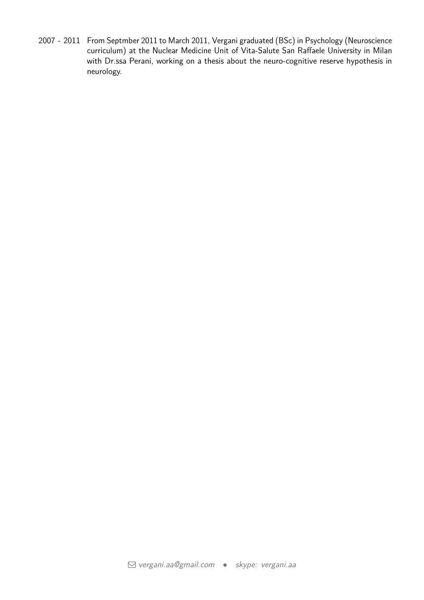2007 - 2011 From Septmber 2011 to March 2011, Vergani graduated (BSc) in Psychology (Neuroscience curriculum) at the Nuclear Medicine Unit of Vita-Salute San Raffaele University in Milan with Dr.ssa Perani, working on a thesis about the neuro-cognitive reserve hypothesis in neurology.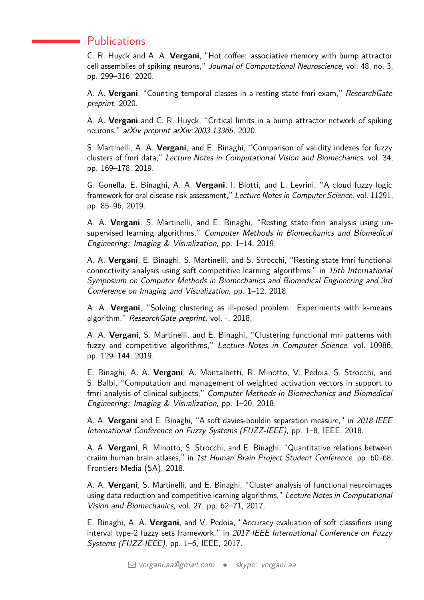## **Publications**

C. R. Huyck and A. A. **Vergani**, "Hot coffee: associative memory with bump attractor cell assemblies of spiking neurons," Journal of Computational Neuroscience, vol. 48, no. 3, pp. 299–316, 2020.

A. A. **Vergani**, "Counting temporal classes in a resting-state fmri exam," ResearchGate preprint, 2020.

A. A. **Vergani** and C. R. Huyck, "Critical limits in a bump attractor network of spiking neurons," arXiv preprint arXiv:2003.13365, 2020.

S. Martinelli, A. A. **Vergani**, and E. Binaghi, "Comparison of validity indexes for fuzzy clusters of fmri data," Lecture Notes in Computational Vision and Biomechanics, vol. 34, pp. 169–178, 2019.

G. Gonella, E. Binaghi, A. A. **Vergani**, I. Biotti, and L. Levrini, "A cloud fuzzy logic framework for oral disease risk assessment," Lecture Notes in Computer Science, vol. 11291, pp. 85–96, 2019.

A. A. **Vergani**, S. Martinelli, and E. Binaghi, "Resting state fmri analysis using unsupervised learning algorithms," Computer Methods in Biomechanics and Biomedical Engineering: Imaging & Visualization, pp. 1–14, 2019.

A. A. **Vergani**, E. Binaghi, S. Martinelli, and S. Strocchi, "Resting state fmri functional connectivity analysis using soft competitive learning algorithms," in 15th International Symposium on Computer Methods in Biomechanics and Biomedical Engineering and 3rd Conference on Imaging and Visualization, pp. 1–12, 2018.

A. A. **Vergani**, "Solving clustering as ill-posed problem: Experiments with k-means algorithm," ResearchGate preprint, vol. -, 2018.

A. A. **Vergani**, S. Martinelli, and E. Binaghi, "Clustering functional mri patterns with fuzzy and competitive algorithms," Lecture Notes in Computer Science, vol. 10986, pp. 129–144, 2019.

E. Binaghi, A. A. **Vergani**, A. Montalbetti, R. Minotto, V. Pedoia, S. Strocchi, and S. Balbi, "Computation and management of weighted activation vectors in support to fmri analysis of clinical subjects," Computer Methods in Biomechanics and Biomedical Engineering: Imaging & Visualization, pp. 1–20, 2018.

A. A. **Vergani** and E. Binaghi, "A soft davies-bouldin separation measure," in 2018 IEEE International Conference on Fuzzy Systems (FUZZ-IEEE), pp. 1–8, IEEE, 2018.

A. A. **Vergani**, R. Minotto, S. Strocchi, and E. Binaghi, "Quantitative relations between craiim human brain atlases," in 1st Human Brain Project Student Conference, pp. 60–68, Frontiers Media (SA), 2018.

A. A. **Vergani**, S. Martinelli, and E. Binaghi, "Cluster analysis of functional neuroimages using data reduction and competitive learning algorithms," Lecture Notes in Computational Vision and Biomechanics, vol. 27, pp. 62–71, 2017.

E. Binaghi, A. A. **Vergani**, and V. Pedoia, "Accuracy evaluation of soft classifiers using interval type-2 fuzzy sets framework," in 2017 IEEE International Conference on Fuzzy Systems (FUZZ-IEEE), pp. 1–6, IEEE, 2017.